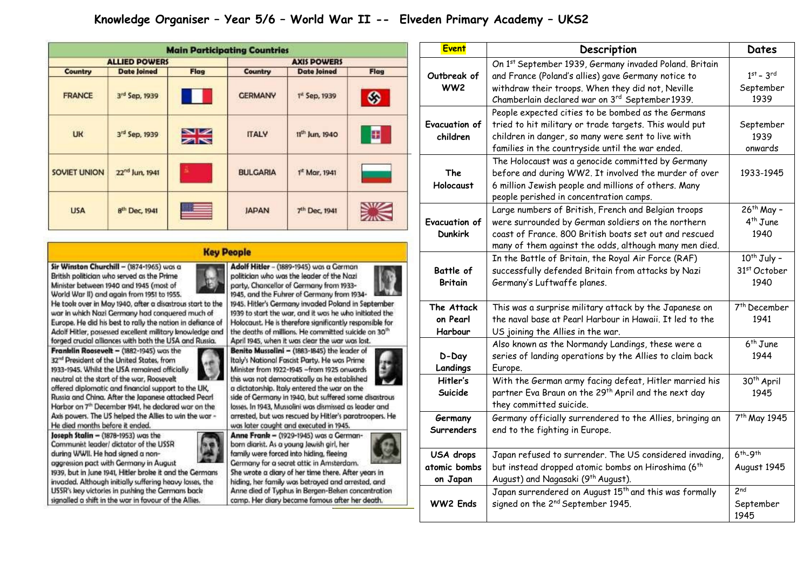## Knowledge Organiser - Year 5/6 - World War II -- Elveden Primary Academy - UKS2

|                      |                            |               | <b>Main Participating Countries</b> |                            |      |
|----------------------|----------------------------|---------------|-------------------------------------|----------------------------|------|
| <b>ALLIED POWERS</b> |                            |               | <b>AXIS POWERS</b>                  |                            |      |
| Country              | <b>Date Joined</b>         | <b>Flag</b>   | Country                             | <b>Date Joined</b>         | Flag |
| <b>FRANCE</b>        | 3rd Sep, 1939              |               | <b>GERMANY</b>                      | 1 <sup>st</sup> Sep, 1939  | ◈    |
| <b>UK</b>            | 3rd Sep, 1939              | $\frac{N}{N}$ | <b>ITALY</b>                        | 11 <sup>th</sup> Jun. 1940 | 田    |
| <b>SOVIET UNION</b>  | 22 <sup>nd</sup> Jun, 1941 | E             | <b>BULGARIA</b>                     | $1it$ Mar, 1941            |      |
| <b>USA</b>           | 8 <sup>th</sup> Dec, 1941  |               | <b>JAPAN</b>                        | 7 <sup>th</sup> Dec, 1941  |      |

## **Key People**

Sir Winston Churchill - (1874-1965) was a British politician who served as the Prime Minister between 1940 and 1945 (most of World War II) and again from 1951 to 1955.

He took over in May 1940, after a disastrous start to the war in which Nazi Germany had conquered much of Europe. He did his best to rally the nation in defiance of Adolf Hitler, possessed excellent military knowledge and forged crucial alliances with both the USA and Russia.

Franklin Roosevelt - (1882-1945) was the 32<sup>nd</sup> President of the United States, from 1933-1945. Whilst the USA remained officially neutral at the start of the war. Roosevelt offered diplomatic and financial support to the UK. Russia and China. After the Japanese attacked Pearl Harbor on 7th December 1941, he declared war on the Axis powers. The US helped the Allies to win the war -He died months before it ended.

Joseph Stalin -  $(1878-1953)$  was the Communist leader/ dictator of the USSR during WWII. He had signed a nonaggression pact with Germany in August

1939, but in June 1941, Hitler broke it and the Germans invaded. Although initially suffering heavy losses, the USSR's key victories in pushing the Germans back signalled a shift in the war in favour of the Allies.



politician who was the leader of the Nazi party. Chancellor of Germany from 1933-1945, and the Fuhrer of Germany from 1934-

1945. Hitler's Germany invaded Poland in September 1939 to start the war, and it was he who initiated the Holocaust. He is therefore significantly responsible for the deaths of millions. He committed suicide on 30<sup>th</sup> April 1945, when it was clear the war was lost.

Benito Mussolini - (1883-1845) the leader of Italy's National Fascist Party. He was Prime Minister from 1922-1945 -from 1925 onwards this was not democratically as he established a dictatorship, Italy entered the war on the

side of Germany in 1940, but suffered some disastrous losses. In 1943, Mussolini was dismissed as leader and arrested, but was rescued by Hitler's paratroopers. He was later caught and executed in 1945.

Anne Frank - (1929-1945) was a Germanborn diarist. As a young Jewish girl, her family were forced into hiding, fleeing Germany for a secret attic in Amsterdam.

She wrote a diary of her time there. After years in hiding, her family was betrayed and arrested, and Anne died of Typhus in Bergen-Belsen concentration camp. Her diary became famous after her death.

| <b>Event</b>                           | Description                                                                                                                                                                                                                   | Dates                                           |
|----------------------------------------|-------------------------------------------------------------------------------------------------------------------------------------------------------------------------------------------------------------------------------|-------------------------------------------------|
| Outbreak of<br>WW <sub>2</sub>         | On 1st September 1939, Germany invaded Poland. Britain<br>and France (Poland's allies) gave Germany notice to<br>withdraw their troops. When they did not, Neville                                                            | $1st - 3rd$<br>September<br>1939                |
| Evacuation of                          | Chamberlain declared war on 3rd September 1939.<br>People expected cities to be bombed as the Germans<br>tried to hit military or trade targets. This would put                                                               |                                                 |
| children                               | children in danger, so many were sent to live with<br>families in the countryside until the war ended.                                                                                                                        | 1939<br>onwards                                 |
| The<br>Holocaust                       | The Holocaust was a genocide committed by Germany<br>before and during WW2. It involved the murder of over<br>6 million Jewish people and millions of others. Many<br>people perished in concentration camps.                 | 1933-1945                                       |
| <b>Evacuation of</b><br><b>Dunkirk</b> | Large numbers of British, French and Belgian troops<br>were surrounded by German soldiers on the northern<br>coast of France. 800 British boats set out and rescued<br>many of them against the odds, although many men died. | 26 <sup>th</sup> May -<br>$4th$ June<br>1940    |
| Battle of<br><b>Britain</b>            | In the Battle of Britain, the Royal Air Force (RAF)<br>successfully defended Britain from attacks by Nazi<br>Germany's Luftwaffe planes.                                                                                      | 10 <sup>th</sup> July -<br>31st October<br>1940 |
| The Attack<br>on Pearl<br>Harbour      | This was a surprise military attack by the Japanese on<br>the naval base at Pearl Harbour in Hawaii. It led to the<br>US joining the Allies in the war.                                                                       | 7 <sup>th</sup> December<br>1941                |
| D-Day<br>Landings                      | Also known as the Normandy Landings, these were a<br>series of landing operations by the Allies to claim back<br>Europe.                                                                                                      | $6th$ June<br>1944                              |
| Hitler's<br>Suicide                    | With the German army facing defeat, Hitler married his<br>partner Eva Braun on the 29th April and the next day<br>they committed suicide.                                                                                     | 30 <sup>th</sup> April<br>1945                  |
| Germany<br><b>Surrenders</b>           | Germany officially surrendered to the Allies, bringing an<br>end to the fighting in Europe.                                                                                                                                   | 7 <sup>th</sup> May 1945                        |
| USA drops<br>atomic bombs<br>on Japan  | Japan refused to surrender. The US considered invading,<br>but instead dropped atomic bombs on Hiroshima (6 <sup>th</sup><br>August) and Nagasaki (9 <sup>th</sup> August).                                                   | $6th-9th$<br>August 1945                        |
| <b>WW2 Ends</b>                        | Japan surrendered on August 15 <sup>th</sup> and this was formally<br>signed on the 2 <sup>nd</sup> September 1945.                                                                                                           | 2 <sub>nd</sub><br>September<br>1945            |